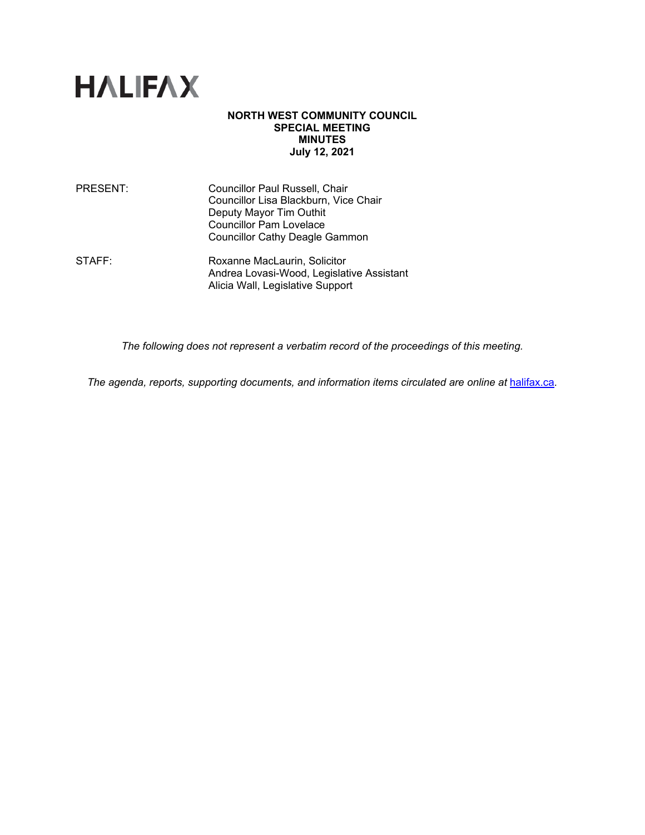

#### **NORTH WEST COMMUNITY COUNCIL SPECIAL MEETING MINUTES July 12, 2021**

| <b>PRESENT:</b> | Councillor Paul Russell, Chair<br>Councillor Lisa Blackburn, Vice Chair<br>Deputy Mayor Tim Outhit<br><b>Councillor Pam Lovelace</b><br><b>Councillor Cathy Deagle Gammon</b> |
|-----------------|-------------------------------------------------------------------------------------------------------------------------------------------------------------------------------|
| STAFF:          | Roxanne MacLaurin, Solicitor                                                                                                                                                  |

Andrea Lovasi-Wood, Legislative Assistant Alicia Wall, Legislative Support

*The following does not represent a verbatim record of the proceedings of this meeting.*

*The agenda, reports, supporting documents, and information items circulated are online at [halifax.ca](http://www.halifax.ca/).*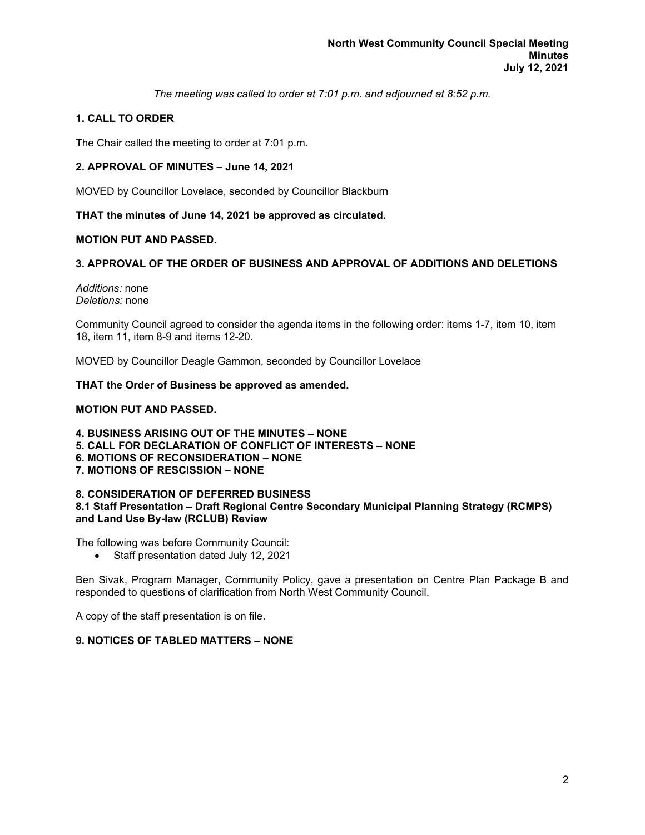*The meeting was called to order at 7:01 p.m. and adjourned at 8:52 p.m.*

# **1. CALL TO ORDER**

The Chair called the meeting to order at 7:01 p.m.

## **2. APPROVAL OF MINUTES – June 14, 2021**

MOVED by Councillor Lovelace, seconded by Councillor Blackburn

**THAT the minutes of June 14, 2021 be approved as circulated.**

## **MOTION PUT AND PASSED.**

## **3. APPROVAL OF THE ORDER OF BUSINESS AND APPROVAL OF ADDITIONS AND DELETIONS**

*Additions:* none *Deletions:* none

Community Council agreed to consider the agenda items in the following order: items 1-7, item 10, item 18, item 11, item 8-9 and items 12-20.

MOVED by Councillor Deagle Gammon, seconded by Councillor Lovelace

## **THAT the Order of Business be approved as amended.**

## **MOTION PUT AND PASSED.**

**4. BUSINESS ARISING OUT OF THE MINUTES – NONE 5. CALL FOR DECLARATION OF CONFLICT OF INTERESTS – NONE 6. MOTIONS OF RECONSIDERATION – NONE 7. MOTIONS OF RESCISSION – NONE**

#### **8. CONSIDERATION OF DEFERRED BUSINESS 8.1 Staff Presentation – Draft Regional Centre Secondary Municipal Planning Strategy (RCMPS) and Land Use By-law (RCLUB) Review**

The following was before Community Council:

• Staff presentation dated July 12, 2021

Ben Sivak, Program Manager, Community Policy, gave a presentation on Centre Plan Package B and responded to questions of clarification from North West Community Council.

A copy of the staff presentation is on file.

## **9. NOTICES OF TABLED MATTERS – NONE**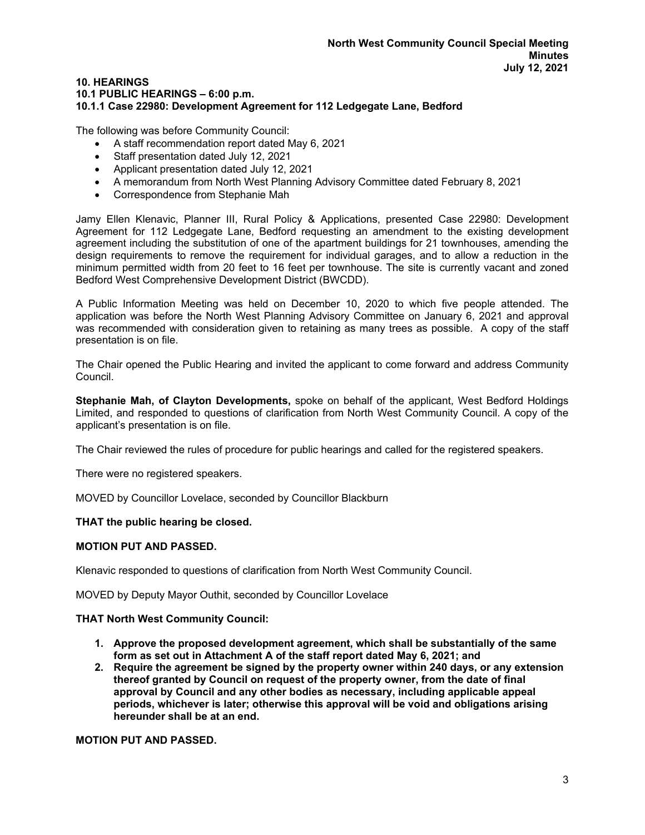#### **10. HEARINGS 10.1 PUBLIC HEARINGS – 6:00 p.m. 10.1.1 Case 22980: Development Agreement for 112 Ledgegate Lane, Bedford**

The following was before Community Council:

- A staff recommendation report dated May 6, 2021
- Staff presentation dated July 12, 2021
- Applicant presentation dated July 12, 2021
- A memorandum from North West Planning Advisory Committee dated February 8, 2021
- Correspondence from Stephanie Mah

Jamy Ellen Klenavic, Planner III, Rural Policy & Applications, presented Case 22980: Development Agreement for 112 Ledgegate Lane, Bedford requesting an amendment to the existing development agreement including the substitution of one of the apartment buildings for 21 townhouses, amending the design requirements to remove the requirement for individual garages, and to allow a reduction in the minimum permitted width from 20 feet to 16 feet per townhouse. The site is currently vacant and zoned Bedford West Comprehensive Development District (BWCDD).

A Public Information Meeting was held on December 10, 2020 to which five people attended. The application was before the North West Planning Advisory Committee on January 6, 2021 and approval was recommended with consideration given to retaining as many trees as possible. A copy of the staff presentation is on file.

The Chair opened the Public Hearing and invited the applicant to come forward and address Community Council.

**Stephanie Mah, of Clayton Developments,** spoke on behalf of the applicant, West Bedford Holdings Limited, and responded to questions of clarification from North West Community Council. A copy of the applicant's presentation is on file.

The Chair reviewed the rules of procedure for public hearings and called for the registered speakers.

There were no registered speakers.

MOVED by Councillor Lovelace, seconded by Councillor Blackburn

#### **THAT the public hearing be closed.**

#### **MOTION PUT AND PASSED.**

Klenavic responded to questions of clarification from North West Community Council.

MOVED by Deputy Mayor Outhit, seconded by Councillor Lovelace

# **THAT North West Community Council:**

- **1. Approve the proposed development agreement, which shall be substantially of the same form as set out in Attachment A of the staff report dated May 6, 2021; and**
- **2. Require the agreement be signed by the property owner within 240 days, or any extension thereof granted by Council on request of the property owner, from the date of final approval by Council and any other bodies as necessary, including applicable appeal periods, whichever is later; otherwise this approval will be void and obligations arising hereunder shall be at an end.**

**MOTION PUT AND PASSED.**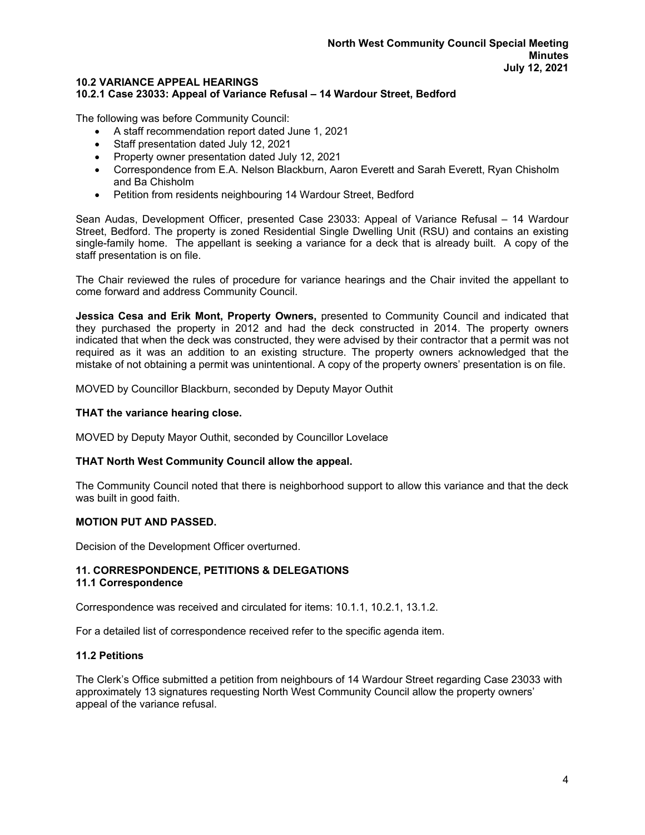## **10.2 VARIANCE APPEAL HEARINGS**

### **10.2.1 Case 23033: Appeal of Variance Refusal – 14 Wardour Street, Bedford**

The following was before Community Council:

- A staff recommendation report dated June 1, 2021
- Staff presentation dated July 12, 2021
- Property owner presentation dated July 12, 2021
- Correspondence from E.A. Nelson Blackburn, Aaron Everett and Sarah Everett, Ryan Chisholm and Ba Chisholm
- Petition from residents neighbouring 14 Wardour Street, Bedford

Sean Audas, Development Officer, presented Case 23033: Appeal of Variance Refusal – 14 Wardour Street, Bedford. The property is zoned Residential Single Dwelling Unit (RSU) and contains an existing single-family home. The appellant is seeking a variance for a deck that is already built. A copy of the staff presentation is on file.

The Chair reviewed the rules of procedure for variance hearings and the Chair invited the appellant to come forward and address Community Council.

**Jessica Cesa and Erik Mont, Property Owners,** presented to Community Council and indicated that they purchased the property in 2012 and had the deck constructed in 2014. The property owners indicated that when the deck was constructed, they were advised by their contractor that a permit was not required as it was an addition to an existing structure. The property owners acknowledged that the mistake of not obtaining a permit was unintentional. A copy of the property owners' presentation is on file.

MOVED by Councillor Blackburn, seconded by Deputy Mayor Outhit

#### **THAT the variance hearing close.**

MOVED by Deputy Mayor Outhit, seconded by Councillor Lovelace

#### **THAT North West Community Council allow the appeal.**

The Community Council noted that there is neighborhood support to allow this variance and that the deck was built in good faith.

#### **MOTION PUT AND PASSED.**

Decision of the Development Officer overturned.

#### **11. CORRESPONDENCE, PETITIONS & DELEGATIONS 11.1 Correspondence**

Correspondence was received and circulated for items: 10.1.1, 10.2.1, 13.1.2.

For a detailed list of correspondence received refer to the specific agenda item.

## **11.2 Petitions**

The Clerk's Office submitted a petition from neighbours of 14 Wardour Street regarding Case 23033 with approximately 13 signatures requesting North West Community Council allow the property owners' appeal of the variance refusal.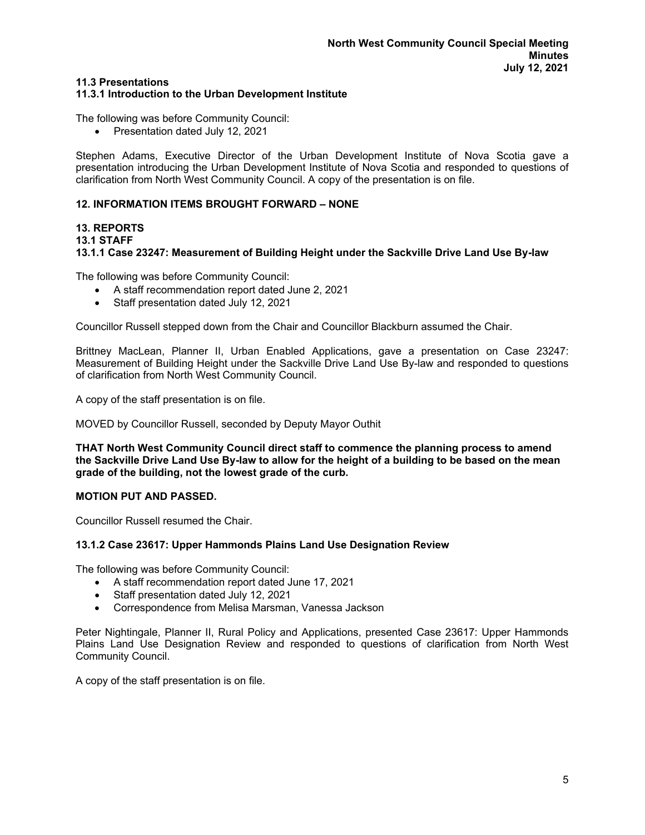## **11.3 Presentations**

## **11.3.1 Introduction to the Urban Development Institute**

The following was before Community Council:

• Presentation dated July 12, 2021

Stephen Adams, Executive Director of the Urban Development Institute of Nova Scotia gave a presentation introducing the Urban Development Institute of Nova Scotia and responded to questions of clarification from North West Community Council. A copy of the presentation is on file.

## **12. INFORMATION ITEMS BROUGHT FORWARD – NONE**

#### **13. REPORTS 13.1 STAFF 13.1.1 Case 23247: Measurement of Building Height under the Sackville Drive Land Use By-law**

The following was before Community Council:

- A staff recommendation report dated June 2, 2021
- Staff presentation dated July 12, 2021

Councillor Russell stepped down from the Chair and Councillor Blackburn assumed the Chair.

Brittney MacLean, Planner II, Urban Enabled Applications, gave a presentation on Case 23247: Measurement of Building Height under the Sackville Drive Land Use By-law and responded to questions of clarification from North West Community Council.

A copy of the staff presentation is on file.

MOVED by Councillor Russell, seconded by Deputy Mayor Outhit

**THAT North West Community Council direct staff to commence the planning process to amend the Sackville Drive Land Use By-law to allow for the height of a building to be based on the mean grade of the building, not the lowest grade of the curb.**

#### **MOTION PUT AND PASSED.**

Councillor Russell resumed the Chair.

#### **13.1.2 Case 23617: Upper Hammonds Plains Land Use Designation Review**

The following was before Community Council:

- A staff recommendation report dated June 17, 2021
- Staff presentation dated July 12, 2021
- Correspondence from Melisa Marsman, Vanessa Jackson

Peter Nightingale, Planner II, Rural Policy and Applications, presented Case 23617: Upper Hammonds Plains Land Use Designation Review and responded to questions of clarification from North West Community Council.

A copy of the staff presentation is on file.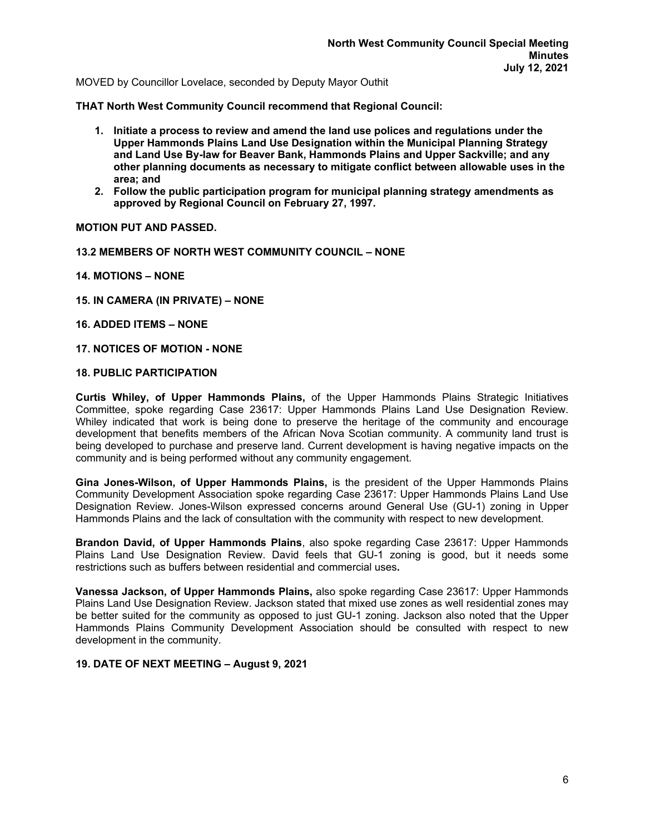MOVED by Councillor Lovelace, seconded by Deputy Mayor Outhit

**THAT North West Community Council recommend that Regional Council:**

- **1. Initiate a process to review and amend the land use polices and regulations under the Upper Hammonds Plains Land Use Designation within the Municipal Planning Strategy and Land Use By-law for Beaver Bank, Hammonds Plains and Upper Sackville; and any other planning documents as necessary to mitigate conflict between allowable uses in the area; and**
- **2. Follow the public participation program for municipal planning strategy amendments as approved by Regional Council on February 27, 1997.**

**MOTION PUT AND PASSED.**

- **13.2 MEMBERS OF NORTH WEST COMMUNITY COUNCIL – NONE**
- **14. MOTIONS – NONE**
- **15. IN CAMERA (IN PRIVATE) – NONE**
- **16. ADDED ITEMS – NONE**
- **17. NOTICES OF MOTION - NONE**

#### **18. PUBLIC PARTICIPATION**

**Curtis Whiley, of Upper Hammonds Plains,** of the Upper Hammonds Plains Strategic Initiatives Committee, spoke regarding Case 23617: Upper Hammonds Plains Land Use Designation Review. Whiley indicated that work is being done to preserve the heritage of the community and encourage development that benefits members of the African Nova Scotian community. A community land trust is being developed to purchase and preserve land. Current development is having negative impacts on the community and is being performed without any community engagement.

**Gina Jones-Wilson, of Upper Hammonds Plains,** is the president of the Upper Hammonds Plains Community Development Association spoke regarding Case 23617: Upper Hammonds Plains Land Use Designation Review. Jones-Wilson expressed concerns around General Use (GU-1) zoning in Upper Hammonds Plains and the lack of consultation with the community with respect to new development.

**Brandon David, of Upper Hammonds Plains**, also spoke regarding Case 23617: Upper Hammonds Plains Land Use Designation Review. David feels that GU-1 zoning is good, but it needs some restrictions such as buffers between residential and commercial uses**.**

**Vanessa Jackson, of Upper Hammonds Plains,** also spoke regarding Case 23617: Upper Hammonds Plains Land Use Designation Review. Jackson stated that mixed use zones as well residential zones may be better suited for the community as opposed to just GU-1 zoning. Jackson also noted that the Upper Hammonds Plains Community Development Association should be consulted with respect to new development in the community.

#### **19. DATE OF NEXT MEETING – August 9, 2021**